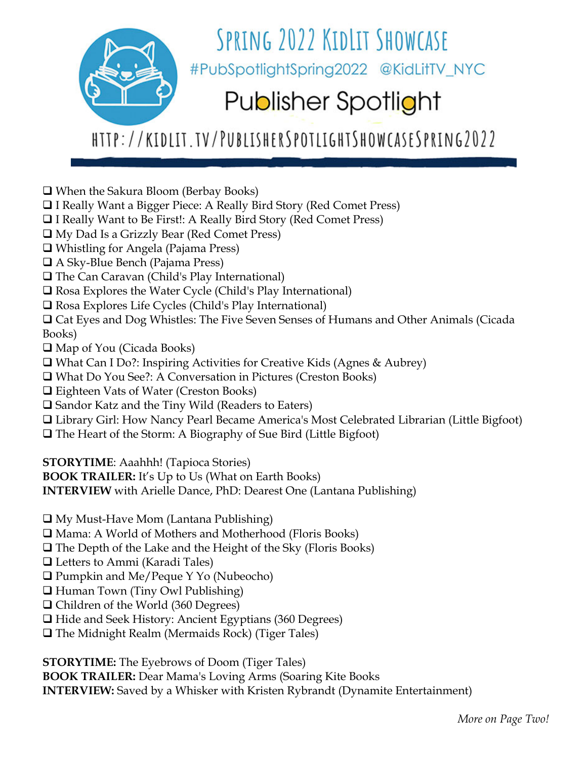

## HTTP://KIDLIT.TV/PUBLISHERSPOTLIGHTSHOWCASESPRING2022

- When the Sakura Bloom (Berbay Books)
- □ I Really Want a Bigger Piece: A Really Bird Story (Red Comet Press)
- I Really Want to Be First!: A Really Bird Story (Red Comet Press)
- My Dad Is a Grizzly Bear (Red Comet Press)
- Whistling for Angela (Pajama Press)
- A Sky-Blue Bench (Pajama Press)
- □ The Can Caravan (Child's Play International)
- Rosa Explores the Water Cycle (Child's Play International)
- □ Rosa Explores Life Cycles (Child's Play International)
- Cat Eyes and Dog Whistles: The Five Seven Senses of Humans and Other Animals (Cicada Books)
- Map of You (Cicada Books)
- What Can I Do?: Inspiring Activities for Creative Kids (Agnes & Aubrey)
- What Do You See?: A Conversation in Pictures (Creston Books)
- Eighteen Vats of Water (Creston Books)
- □ Sandor Katz and the Tiny Wild (Readers to Eaters)
- Library Girl: How Nancy Pearl Became America's Most Celebrated Librarian (Little Bigfoot)
- $\Box$  The Heart of the Storm: A Biography of Sue Bird (Little Bigfoot)

**STORYTIME**: Aaahhh! (Tapioca Stories)

**BOOK TRAILER:** It's Up to Us (What on Earth Books)

**INTERVIEW** with Arielle Dance, PhD: Dearest One (Lantana Publishing)

 $\Box$  My Must-Have Mom (Lantana Publishing)

- Mama: A World of Mothers and Motherhood (Floris Books)
- $\Box$  The Depth of the Lake and the Height of the Sky (Floris Books)
- Letters to Ammi (Karadi Tales)
- Pumpkin and Me/Peque Y Yo (Nubeocho)
- $\Box$  Human Town (Tiny Owl Publishing)
- Children of the World (360 Degrees)
- $\Box$  Hide and Seek History: Ancient Egyptians (360 Degrees)
- $\Box$  The Midnight Realm (Mermaids Rock) (Tiger Tales)

**STORYTIME:** The Eyebrows of Doom (Tiger Tales)

**BOOK TRAILER:** Dear Mama's Loving Arms (Soaring Kite Books **INTERVIEW:** Saved by a Whisker with Kristen Rybrandt (Dynamite Entertainment)